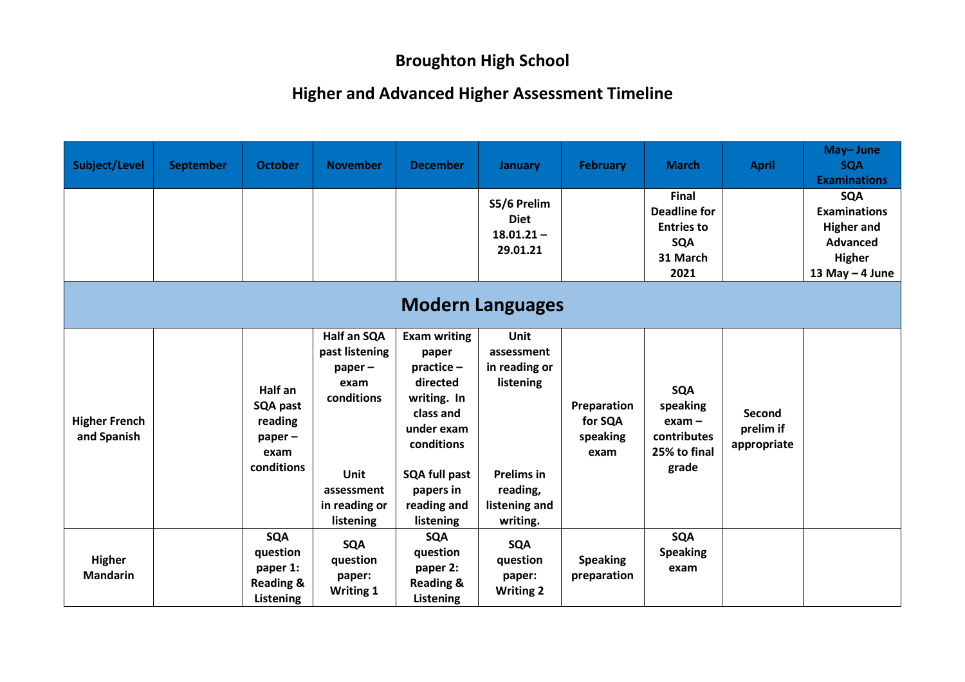## **Broughton High School**

## **Higher and Advanced Higher Assessment Timeline**

| Subject/Level                       | <b>September</b> | <b>October</b>                                                          | <b>November</b>                                                                                                             | <b>December</b>                                                                                                                                                                | <b>January</b>                                                                                                        | <b>February</b>                            | <b>March</b>                                                                        | <b>April</b>                       | May-June<br><b>SQA</b><br><b>Examinations</b>                                                            |
|-------------------------------------|------------------|-------------------------------------------------------------------------|-----------------------------------------------------------------------------------------------------------------------------|--------------------------------------------------------------------------------------------------------------------------------------------------------------------------------|-----------------------------------------------------------------------------------------------------------------------|--------------------------------------------|-------------------------------------------------------------------------------------|------------------------------------|----------------------------------------------------------------------------------------------------------|
|                                     |                  |                                                                         |                                                                                                                             |                                                                                                                                                                                | S5/6 Prelim<br><b>Diet</b><br>$18.01.21 -$<br>29.01.21                                                                |                                            | Final<br><b>Deadline for</b><br><b>Entries to</b><br><b>SQA</b><br>31 March<br>2021 |                                    | <b>SQA</b><br><b>Examinations</b><br><b>Higher and</b><br><b>Advanced</b><br>Higher<br>13 May $-$ 4 June |
|                                     |                  |                                                                         |                                                                                                                             |                                                                                                                                                                                | <b>Modern Languages</b>                                                                                               |                                            |                                                                                     |                                    |                                                                                                          |
| <b>Higher French</b><br>and Spanish |                  | Half an<br>SQA past<br>reading<br>$paper -$<br>exam<br>conditions       | Half an SQA<br>past listening<br>$paper -$<br>exam<br>conditions<br><b>Unit</b><br>assessment<br>in reading or<br>listening | <b>Exam writing</b><br>paper<br>practice-<br>directed<br>writing. In<br>class and<br>under exam<br>conditions<br><b>SQA full past</b><br>papers in<br>reading and<br>listening | <b>Unit</b><br>assessment<br>in reading or<br>listening<br><b>Prelims in</b><br>reading,<br>listening and<br>writing. | Preparation<br>for SQA<br>speaking<br>exam | <b>SQA</b><br>speaking<br>$exam -$<br>contributes<br>25% to final<br>grade          | Second<br>prelim if<br>appropriate |                                                                                                          |
| Higher<br><b>Mandarin</b>           |                  | <b>SQA</b><br>question<br>paper 1:<br><b>Reading &amp;</b><br>Listening | <b>SQA</b><br>question<br>paper:<br><b>Writing 1</b>                                                                        | <b>SQA</b><br>question<br>paper 2:<br><b>Reading &amp;</b><br>Listening                                                                                                        | <b>SQA</b><br>question<br>paper:<br><b>Writing 2</b>                                                                  | <b>Speaking</b><br>preparation             | <b>SQA</b><br><b>Speaking</b><br>exam                                               |                                    |                                                                                                          |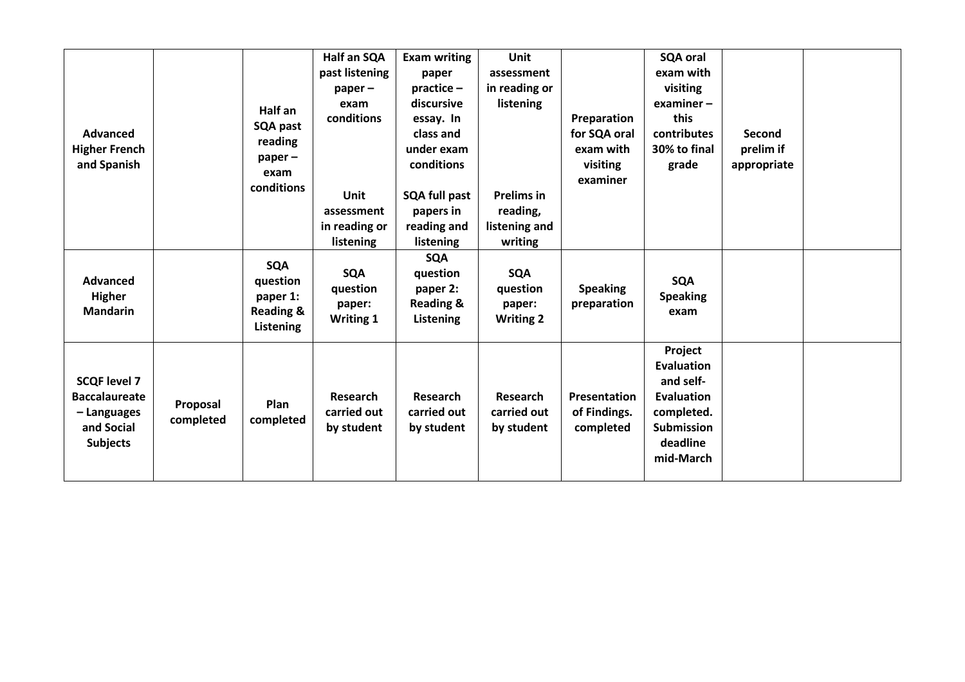| <b>Advanced</b><br><b>Higher French</b><br>and Spanish                                      |                       | Half an<br>SQA past<br>reading<br>$paper -$<br>exam<br>conditions       | Half an SQA<br>past listening<br>$paper -$<br>exam<br>conditions<br>Unit<br>assessment<br>in reading or<br>listening | <b>Exam writing</b><br>paper<br>practice-<br>discursive<br>essay. In<br>class and<br>under exam<br>conditions<br><b>SQA full past</b><br>papers in<br>reading and<br>listening | Unit<br>assessment<br>in reading or<br>listening<br><b>Prelims in</b><br>reading,<br>listening and<br>writing | Preparation<br>for SQA oral<br>exam with<br>visiting<br>examiner | <b>SQA oral</b><br>exam with<br>visiting<br>examiner $-$<br>this<br>contributes<br>30% to final<br>grade            | Second<br>prelim if<br>appropriate |  |
|---------------------------------------------------------------------------------------------|-----------------------|-------------------------------------------------------------------------|----------------------------------------------------------------------------------------------------------------------|--------------------------------------------------------------------------------------------------------------------------------------------------------------------------------|---------------------------------------------------------------------------------------------------------------|------------------------------------------------------------------|---------------------------------------------------------------------------------------------------------------------|------------------------------------|--|
| <b>Advanced</b><br><b>Higher</b><br><b>Mandarin</b>                                         |                       | <b>SQA</b><br>question<br>paper 1:<br><b>Reading &amp;</b><br>Listening | <b>SQA</b><br>question<br>paper:<br><b>Writing 1</b>                                                                 | <b>SQA</b><br>question<br>paper 2:<br><b>Reading &amp;</b><br>Listening                                                                                                        | <b>SQA</b><br>question<br>paper:<br><b>Writing 2</b>                                                          | <b>Speaking</b><br>preparation                                   | <b>SQA</b><br><b>Speaking</b><br>exam                                                                               |                                    |  |
| <b>SCQF level 7</b><br><b>Baccalaureate</b><br>- Languages<br>and Social<br><b>Subjects</b> | Proposal<br>completed | Plan<br>completed                                                       | <b>Research</b><br>carried out<br>by student                                                                         | <b>Research</b><br>carried out<br>by student                                                                                                                                   | Research<br>carried out<br>by student                                                                         | Presentation<br>of Findings.<br>completed                        | Project<br>Evaluation<br>and self-<br><b>Evaluation</b><br>completed.<br><b>Submission</b><br>deadline<br>mid-March |                                    |  |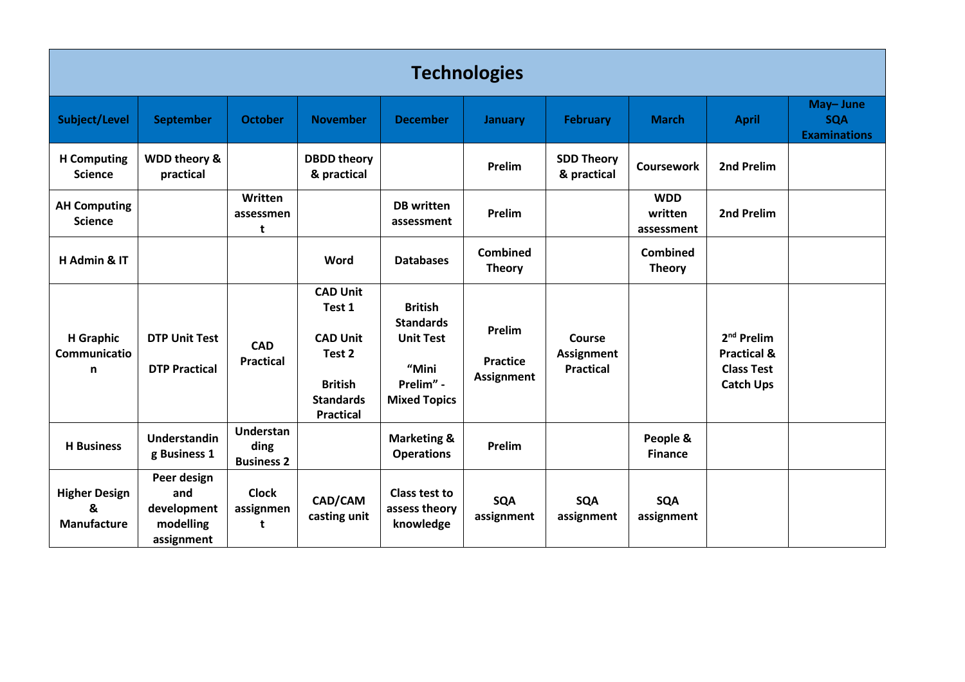| <b>Technologies</b>                      |                                                              |                                               |                                                                                                                  |                                                                                                     |                                                |                                                 |                                     |                                                                                 |                                               |  |  |  |
|------------------------------------------|--------------------------------------------------------------|-----------------------------------------------|------------------------------------------------------------------------------------------------------------------|-----------------------------------------------------------------------------------------------------|------------------------------------------------|-------------------------------------------------|-------------------------------------|---------------------------------------------------------------------------------|-----------------------------------------------|--|--|--|
| Subject/Level                            | <b>September</b>                                             | <b>October</b>                                | <b>November</b>                                                                                                  | <b>December</b>                                                                                     | <b>January</b>                                 | <b>February</b>                                 | <b>March</b>                        | <b>April</b>                                                                    | May-June<br><b>SQA</b><br><b>Examinations</b> |  |  |  |
| <b>H</b> Computing<br><b>Science</b>     | WDD theory &<br>practical                                    |                                               | <b>DBDD theory</b><br>& practical                                                                                |                                                                                                     | Prelim                                         | <b>SDD Theory</b><br>& practical                | <b>Coursework</b>                   | 2nd Prelim                                                                      |                                               |  |  |  |
| <b>AH Computing</b><br><b>Science</b>    |                                                              | Written<br>assessmen<br>t                     |                                                                                                                  | <b>DB</b> written<br>assessment                                                                     | Prelim                                         |                                                 | <b>WDD</b><br>written<br>assessment | 2nd Prelim                                                                      |                                               |  |  |  |
| H Admin & IT                             |                                                              |                                               | Word                                                                                                             | <b>Databases</b>                                                                                    | <b>Combined</b><br><b>Theory</b>               |                                                 | <b>Combined</b><br><b>Theory</b>    |                                                                                 |                                               |  |  |  |
| <b>H</b> Graphic<br>Communicatio<br>n    | <b>DTP Unit Test</b><br><b>DTP Practical</b>                 | <b>CAD</b><br><b>Practical</b>                | <b>CAD Unit</b><br>Test 1<br><b>CAD Unit</b><br>Test 2<br><b>British</b><br><b>Standards</b><br><b>Practical</b> | <b>British</b><br><b>Standards</b><br><b>Unit Test</b><br>"Mini<br>Prelim" -<br><b>Mixed Topics</b> | Prelim<br><b>Practice</b><br><b>Assignment</b> | Course<br><b>Assignment</b><br><b>Practical</b> |                                     | $2nd$ Prelim<br><b>Practical &amp;</b><br><b>Class Test</b><br><b>Catch Ups</b> |                                               |  |  |  |
| <b>H</b> Business                        | <b>Understandin</b><br>g Business 1                          | <b>Understan</b><br>ding<br><b>Business 2</b> |                                                                                                                  | <b>Marketing &amp;</b><br><b>Operations</b>                                                         | Prelim                                         |                                                 | People &<br><b>Finance</b>          |                                                                                 |                                               |  |  |  |
| <b>Higher Design</b><br>&<br>Manufacture | Peer design<br>and<br>development<br>modelling<br>assignment | <b>Clock</b><br>assignmen<br>t                | CAD/CAM<br>casting unit                                                                                          | Class test to<br>assess theory<br>knowledge                                                         | <b>SQA</b><br>assignment                       | <b>SQA</b><br>assignment                        | <b>SQA</b><br>assignment            |                                                                                 |                                               |  |  |  |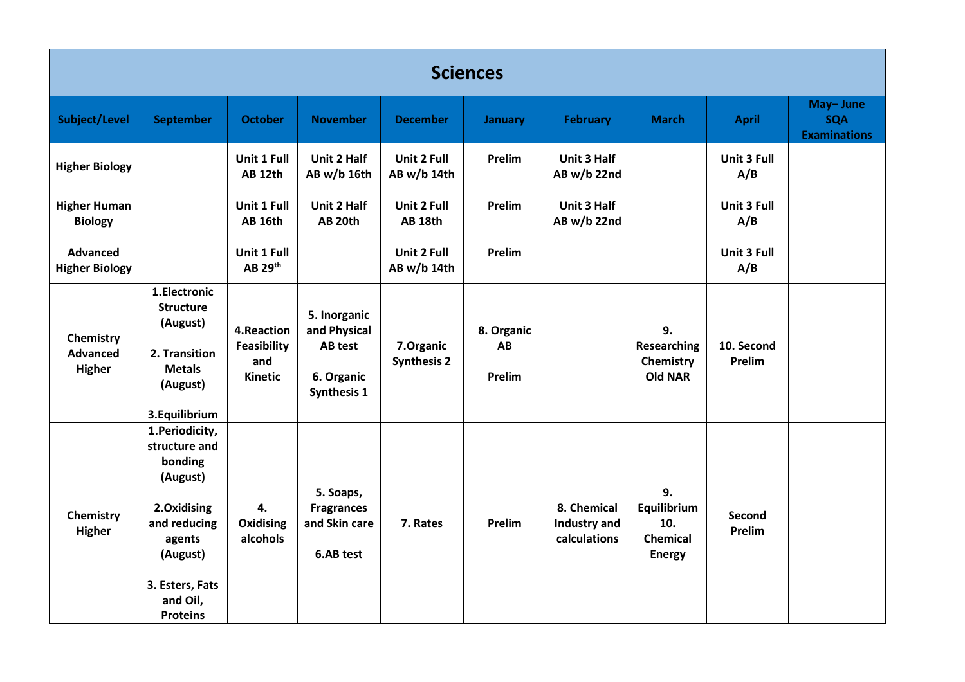|                                          |                                                                                                                                                               |                                                           |                                                                             |                                   | <b>Sciences</b>            |                                             |                                                       |                           |                                               |
|------------------------------------------|---------------------------------------------------------------------------------------------------------------------------------------------------------------|-----------------------------------------------------------|-----------------------------------------------------------------------------|-----------------------------------|----------------------------|---------------------------------------------|-------------------------------------------------------|---------------------------|-----------------------------------------------|
| Subject/Level                            | <b>September</b>                                                                                                                                              | <b>October</b>                                            | <b>November</b>                                                             | <b>December</b>                   | <b>January</b>             | <b>February</b>                             | <b>March</b>                                          | <b>April</b>              | May-June<br><b>SQA</b><br><b>Examinations</b> |
| <b>Higher Biology</b>                    |                                                                                                                                                               | Unit 1 Full<br>AB <sub>12th</sub>                         | Unit 2 Half<br>AB w/b 16th                                                  | Unit 2 Full<br>AB w/b 14th        | Prelim                     | Unit 3 Half<br>AB w/b 22nd                  |                                                       | Unit 3 Full<br>A/B        |                                               |
| <b>Higher Human</b><br><b>Biology</b>    |                                                                                                                                                               | Unit 1 Full<br><b>AB 16th</b>                             | Unit 2 Half<br>AB 20th                                                      | Unit 2 Full<br>AB <sub>18th</sub> | Prelim                     | <b>Unit 3 Half</b><br>AB w/b 22nd           |                                                       | Unit 3 Full<br>A/B        |                                               |
| <b>Advanced</b><br><b>Higher Biology</b> |                                                                                                                                                               | Unit 1 Full<br>AB 29th                                    |                                                                             | Unit 2 Full<br>AB w/b 14th        | Prelim                     |                                             |                                                       | <b>Unit 3 Full</b><br>A/B |                                               |
| Chemistry<br><b>Advanced</b><br>Higher   | 1.Electronic<br><b>Structure</b><br>(August)<br>2. Transition<br><b>Metals</b><br>(August)<br>3. Equilibrium                                                  | 4.Reaction<br><b>Feasibility</b><br>and<br><b>Kinetic</b> | 5. Inorganic<br>and Physical<br>AB test<br>6. Organic<br><b>Synthesis 1</b> | 7.Organic<br><b>Synthesis 2</b>   | 8. Organic<br>AB<br>Prelim |                                             | 9.<br>Researching<br>Chemistry<br><b>Old NAR</b>      | 10. Second<br>Prelim      |                                               |
| Chemistry<br><b>Higher</b>               | 1.Periodicity,<br>structure and<br>bonding<br>(August)<br>2.Oxidising<br>and reducing<br>agents<br>(August)<br>3. Esters, Fats<br>and Oil,<br><b>Proteins</b> | 4.<br>Oxidising<br>alcohols                               | 5. Soaps,<br><b>Fragrances</b><br>and Skin care<br>6.AB test                | 7. Rates                          | Prelim                     | 8. Chemical<br>Industry and<br>calculations | 9.<br>Equilibrium<br>10.<br>Chemical<br><b>Energy</b> | Second<br>Prelim          |                                               |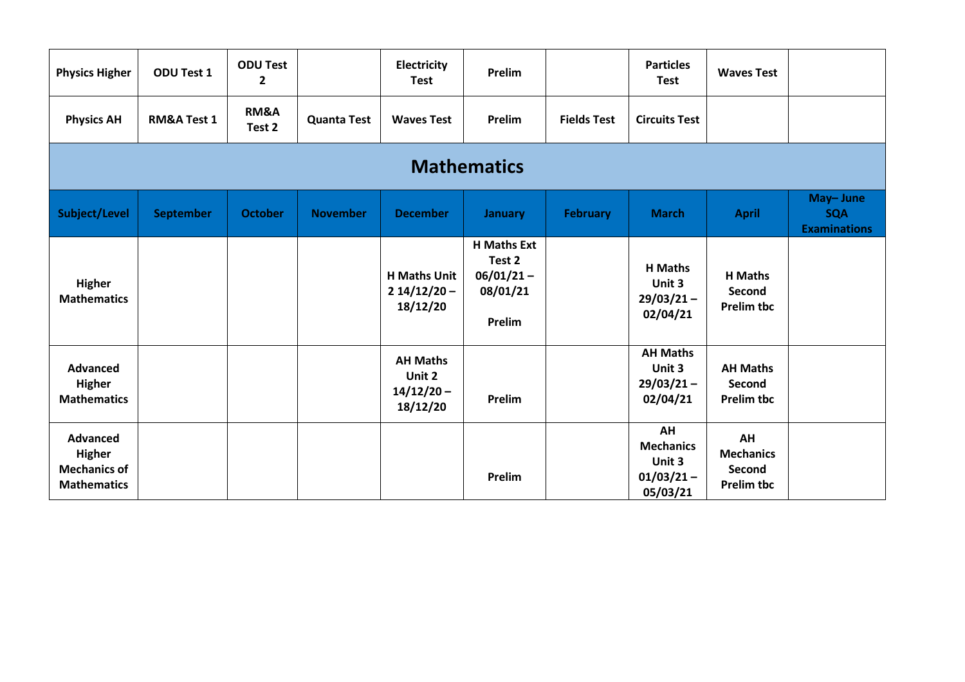| <b>Physics Higher</b>                                                         | ODU Test 1             | <b>ODU Test</b><br>2 |                    | Electricity<br><b>Test</b>                            | Prelim                                                             |                    | <b>Particles</b><br><b>Test</b>                              | <b>Waves Test</b>                                     |                                               |
|-------------------------------------------------------------------------------|------------------------|----------------------|--------------------|-------------------------------------------------------|--------------------------------------------------------------------|--------------------|--------------------------------------------------------------|-------------------------------------------------------|-----------------------------------------------|
| <b>Physics AH</b>                                                             | <b>RM&amp;A Test 1</b> | RM&A<br>Test 2       | <b>Quanta Test</b> | <b>Waves Test</b>                                     | Prelim                                                             | <b>Fields Test</b> | <b>Circuits Test</b>                                         |                                                       |                                               |
|                                                                               |                        |                      |                    |                                                       | <b>Mathematics</b>                                                 |                    |                                                              |                                                       |                                               |
| Subject/Level                                                                 | <b>September</b>       | <b>October</b>       | <b>November</b>    | <b>December</b>                                       | January                                                            | <b>February</b>    | <b>March</b>                                                 | <b>April</b>                                          | May-June<br><b>SQA</b><br><b>Examinations</b> |
| <b>Higher</b><br><b>Mathematics</b>                                           |                        |                      |                    | <b>H Maths Unit</b><br>$214/12/20 -$<br>18/12/20      | <b>H Maths Ext</b><br>Test 2<br>$06/01/21 -$<br>08/01/21<br>Prelim |                    | <b>H</b> Maths<br>Unit 3<br>$29/03/21 -$<br>02/04/21         | <b>H</b> Maths<br>Second<br><b>Prelim tbc</b>         |                                               |
| <b>Advanced</b><br>Higher<br><b>Mathematics</b>                               |                        |                      |                    | <b>AH Maths</b><br>Unit 2<br>$14/12/20 -$<br>18/12/20 | Prelim                                                             |                    | <b>AH Maths</b><br>Unit 3<br>$29/03/21 -$<br>02/04/21        | <b>AH Maths</b><br>Second<br><b>Prelim tbc</b>        |                                               |
| <b>Advanced</b><br><b>Higher</b><br><b>Mechanics of</b><br><b>Mathematics</b> |                        |                      |                    |                                                       | Prelim                                                             |                    | AH<br><b>Mechanics</b><br>Unit 3<br>$01/03/21 -$<br>05/03/21 | AH<br><b>Mechanics</b><br>Second<br><b>Prelim tbc</b> |                                               |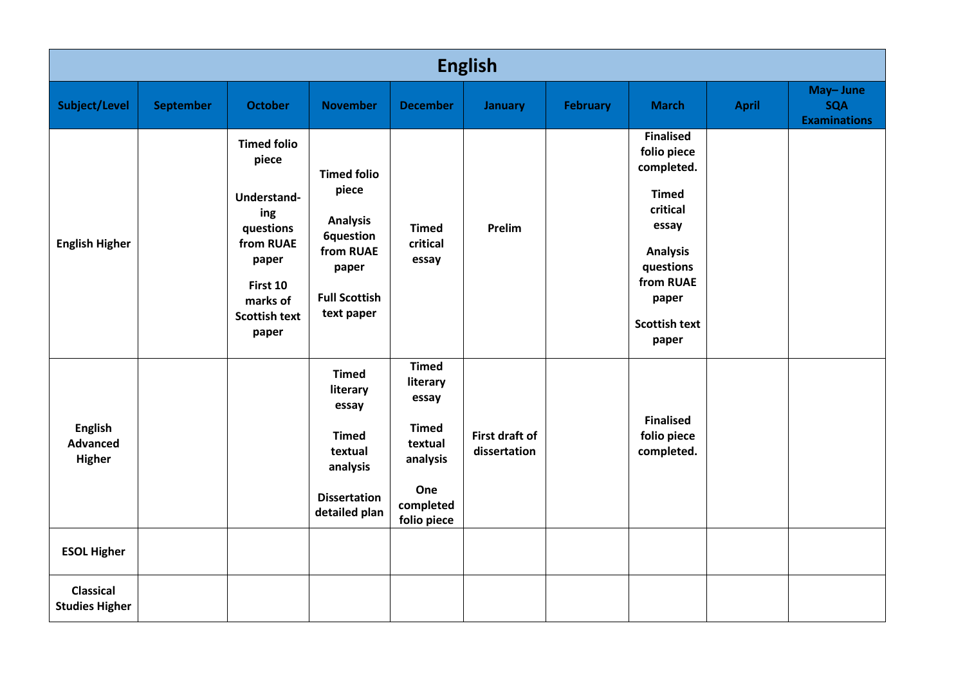|                                             | <b>English</b>   |                                                                                                                                               |                                                                                                                                |                                                                                                             |                                       |                 |                                                                                                                                                                           |              |                                               |  |  |  |  |  |
|---------------------------------------------|------------------|-----------------------------------------------------------------------------------------------------------------------------------------------|--------------------------------------------------------------------------------------------------------------------------------|-------------------------------------------------------------------------------------------------------------|---------------------------------------|-----------------|---------------------------------------------------------------------------------------------------------------------------------------------------------------------------|--------------|-----------------------------------------------|--|--|--|--|--|
| Subject/Level                               | <b>September</b> | <b>October</b>                                                                                                                                | <b>November</b>                                                                                                                | <b>December</b>                                                                                             | <b>January</b>                        | <b>February</b> | <b>March</b>                                                                                                                                                              | <b>April</b> | May-June<br><b>SQA</b><br><b>Examinations</b> |  |  |  |  |  |
| <b>English Higher</b>                       |                  | <b>Timed folio</b><br>piece<br>Understand-<br>ing<br>questions<br>from RUAE<br>paper<br>First 10<br>marks of<br><b>Scottish text</b><br>paper | <b>Timed folio</b><br>piece<br><b>Analysis</b><br><b>6question</b><br>from RUAE<br>paper<br><b>Full Scottish</b><br>text paper | <b>Timed</b><br>critical<br>essay                                                                           | Prelim                                |                 | <b>Finalised</b><br>folio piece<br>completed.<br><b>Timed</b><br>critical<br>essay<br><b>Analysis</b><br>questions<br>from RUAE<br>paper<br><b>Scottish text</b><br>paper |              |                                               |  |  |  |  |  |
| <b>English</b><br><b>Advanced</b><br>Higher |                  |                                                                                                                                               | <b>Timed</b><br>literary<br>essay<br><b>Timed</b><br>textual<br>analysis<br><b>Dissertation</b><br>detailed plan               | <b>Timed</b><br>literary<br>essay<br><b>Timed</b><br>textual<br>analysis<br>One<br>completed<br>folio piece | <b>First draft of</b><br>dissertation |                 | <b>Finalised</b><br>folio piece<br>completed.                                                                                                                             |              |                                               |  |  |  |  |  |
| <b>ESOL Higher</b>                          |                  |                                                                                                                                               |                                                                                                                                |                                                                                                             |                                       |                 |                                                                                                                                                                           |              |                                               |  |  |  |  |  |
| <b>Classical</b><br><b>Studies Higher</b>   |                  |                                                                                                                                               |                                                                                                                                |                                                                                                             |                                       |                 |                                                                                                                                                                           |              |                                               |  |  |  |  |  |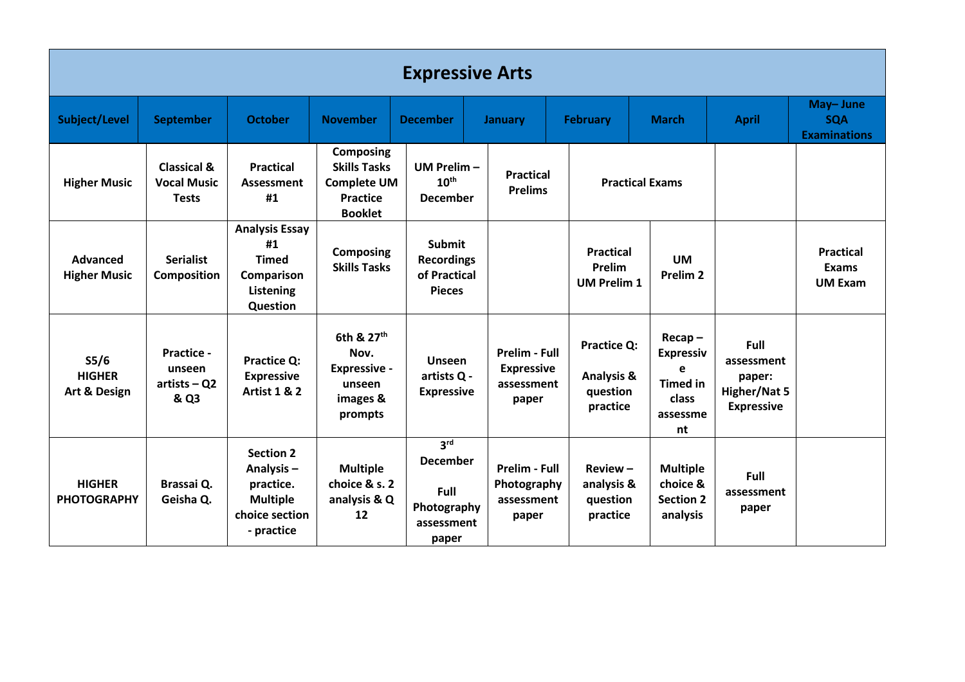| <b>Expressive Arts</b>                             |                                                              |                                                                                               |                                                                                             |                                                                                  |                                                                  |                                                          |                                                                                  |                                                                   |                                                    |  |
|----------------------------------------------------|--------------------------------------------------------------|-----------------------------------------------------------------------------------------------|---------------------------------------------------------------------------------------------|----------------------------------------------------------------------------------|------------------------------------------------------------------|----------------------------------------------------------|----------------------------------------------------------------------------------|-------------------------------------------------------------------|----------------------------------------------------|--|
| Subject/Level                                      | <b>September</b>                                             | <b>October</b>                                                                                | <b>November</b>                                                                             | <b>December</b>                                                                  | <b>January</b>                                                   | <b>February</b>                                          | <b>March</b>                                                                     | <b>April</b>                                                      | May-June<br><b>SQA</b><br><b>Examinations</b>      |  |
| <b>Higher Music</b>                                | <b>Classical &amp;</b><br><b>Vocal Music</b><br><b>Tests</b> | <b>Practical</b><br><b>Assessment</b><br>#1                                                   | Composing<br><b>Skills Tasks</b><br><b>Complete UM</b><br><b>Practice</b><br><b>Booklet</b> | UM Prelim-<br>10 <sup>th</sup><br><b>December</b>                                | <b>Practical</b><br><b>Prelims</b>                               |                                                          | <b>Practical Exams</b>                                                           |                                                                   |                                                    |  |
| Advanced<br><b>Higher Music</b>                    | <b>Serialist</b><br><b>Composition</b>                       | <b>Analysis Essay</b><br>#1<br><b>Timed</b><br>Comparison<br>Listening<br>Question            | Composing<br><b>Skills Tasks</b>                                                            | <b>Submit</b><br><b>Recordings</b><br>of Practical<br><b>Pieces</b>              |                                                                  | <b>Practical</b><br><b>Prelim</b><br><b>UM Prelim 1</b>  | <b>UM</b><br>Prelim <sub>2</sub>                                                 |                                                                   | <b>Practical</b><br><b>Exams</b><br><b>UM Exam</b> |  |
| S <sub>5</sub> /6<br><b>HIGHER</b><br>Art & Design | <b>Practice -</b><br>unseen<br>$artists - Q2$<br>& Q3        | <b>Practice Q:</b><br><b>Expressive</b><br><b>Artist 1 &amp; 2</b>                            | 6th & 27th<br>Nov.<br><b>Expressive -</b><br>unseen<br>images &<br>prompts                  | <b>Unseen</b><br>artists Q -<br><b>Expressive</b>                                | <b>Prelim - Full</b><br><b>Expressive</b><br>assessment<br>paper | <b>Practice Q:</b><br>Analysis &<br>question<br>practice | $Recap -$<br><b>Expressiv</b><br>e<br><b>Timed in</b><br>class<br>assessme<br>nt | Full<br>assessment<br>paper:<br>Higher/Nat 5<br><b>Expressive</b> |                                                    |  |
| <b>HIGHER</b><br><b>PHOTOGRAPHY</b>                | Brassai Q.<br>Geisha Q.                                      | <b>Section 2</b><br>Analysis-<br>practice.<br><b>Multiple</b><br>choice section<br>- practice | <b>Multiple</b><br>choice & s. 2<br>analysis & Q<br>12                                      | 3 <sup>rd</sup><br><b>December</b><br>Full<br>Photography<br>assessment<br>paper | <b>Prelim - Full</b><br>Photography<br>assessment<br>paper       | $Review -$<br>analysis &<br>question<br>practice         | <b>Multiple</b><br>choice &<br><b>Section 2</b><br>analysis                      | Full<br>assessment<br>paper                                       |                                                    |  |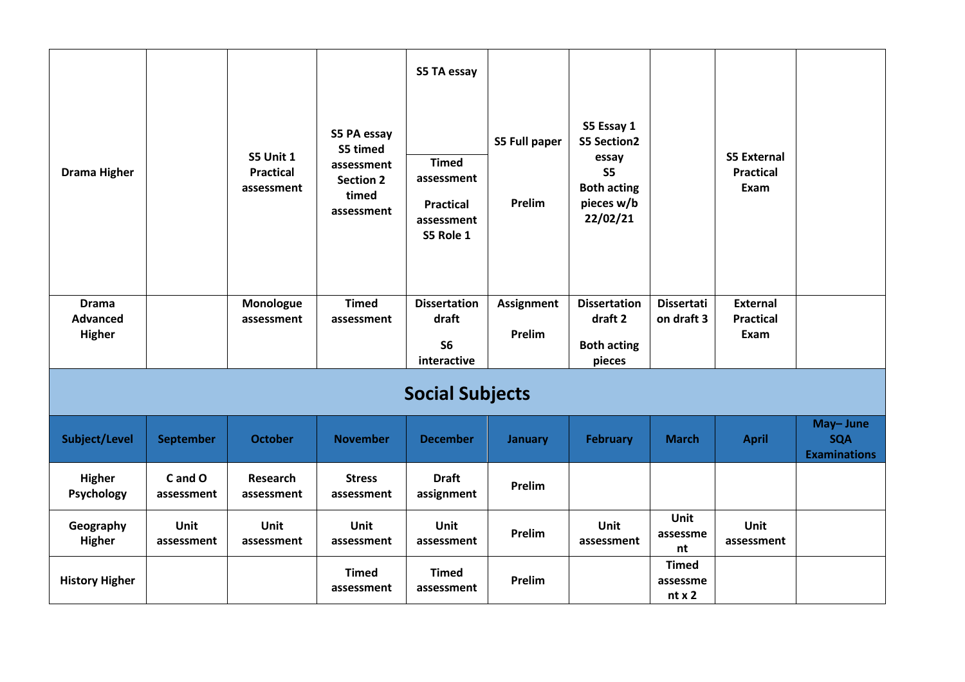| <b>Drama Higher</b>        |                       | S5 Unit 1<br><b>Practical</b><br>assessment | S5 PA essay<br>S5 timed<br>assessment<br><b>Section 2</b><br>timed<br>assessment | S5 TA essay<br><b>Timed</b><br>assessment<br><b>Practical</b><br>assessment<br>S5 Role 1 | <b>S5 Full paper</b><br>Prelim | S5 Essay 1<br><b>S5 Section2</b><br>essay<br><b>S5</b><br><b>Both acting</b><br>pieces w/b<br>22/02/21 |                                  | <b>S5 External</b><br><b>Practical</b><br>Exam |                                               |
|----------------------------|-----------------------|---------------------------------------------|----------------------------------------------------------------------------------|------------------------------------------------------------------------------------------|--------------------------------|--------------------------------------------------------------------------------------------------------|----------------------------------|------------------------------------------------|-----------------------------------------------|
| <b>Drama</b>               |                       | Monologue                                   | <b>Timed</b>                                                                     | <b>Dissertation</b>                                                                      | <b>Assignment</b>              | <b>Dissertation</b>                                                                                    | <b>Dissertati</b>                | <b>External</b>                                |                                               |
| <b>Advanced</b><br>Higher  |                       | assessment                                  | assessment                                                                       | draft                                                                                    | Prelim                         | draft 2                                                                                                | on draft 3                       | <b>Practical</b><br>Exam                       |                                               |
|                            |                       |                                             |                                                                                  | <b>S6</b>                                                                                |                                | <b>Both acting</b>                                                                                     |                                  |                                                |                                               |
|                            |                       |                                             |                                                                                  | interactive                                                                              |                                | pieces                                                                                                 |                                  |                                                |                                               |
|                            |                       |                                             |                                                                                  | <b>Social Subjects</b>                                                                   |                                |                                                                                                        |                                  |                                                |                                               |
| Subject/Level              | September             | <b>October</b>                              | <b>November</b>                                                                  | <b>December</b>                                                                          | <b>January</b>                 | <b>February</b>                                                                                        | <b>March</b>                     | <b>April</b>                                   | May-June<br><b>SQA</b><br><b>Examinations</b> |
| Higher<br>Psychology       | C and O<br>assessment | <b>Research</b><br>assessment               | <b>Stress</b><br>assessment                                                      | <b>Draft</b><br>assignment                                                               | Prelim                         |                                                                                                        |                                  |                                                |                                               |
| Geography<br><b>Higher</b> | Unit<br>assessment    | <b>Unit</b><br>assessment                   | <b>Unit</b><br>assessment                                                        | Unit<br>assessment                                                                       | Prelim                         | <b>Unit</b><br>assessment                                                                              | Unit<br>assessme<br>nt           | <b>Unit</b><br>assessment                      |                                               |
| <b>History Higher</b>      |                       |                                             | <b>Timed</b><br>assessment                                                       | <b>Timed</b><br>assessment                                                               | Prelim                         |                                                                                                        | <b>Timed</b><br>assessme<br>ntx2 |                                                |                                               |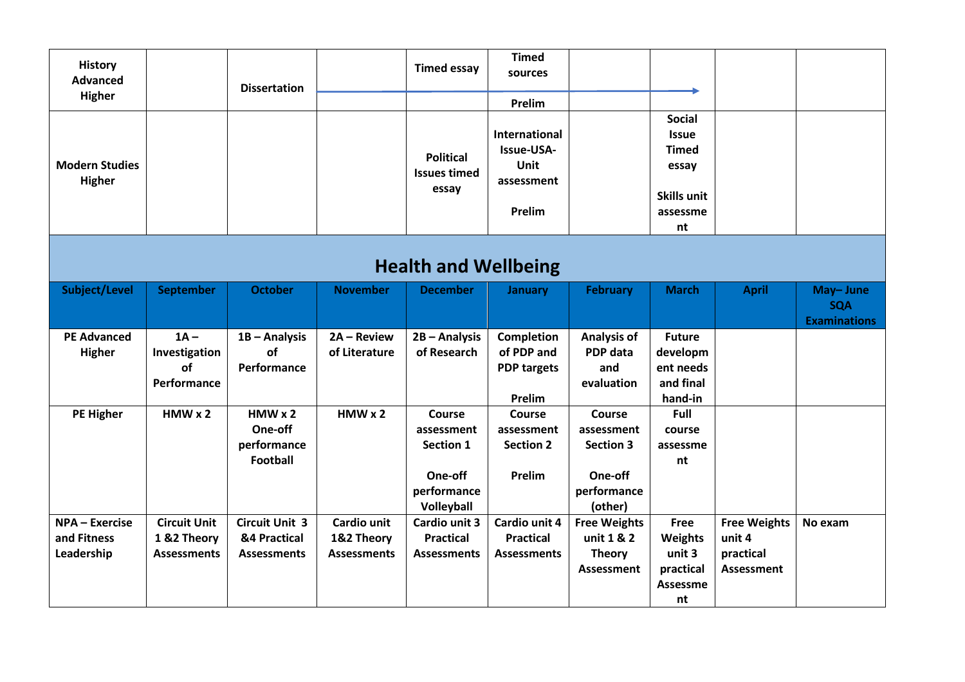| <b>History</b><br><b>Advanced</b><br><b>Higher</b> |                                                          | <b>Dissertation</b>                                         |                                                 | <b>Timed essay</b>                                                                      | <b>Timed</b><br>sources<br>Prelim                               |                                                                               |                                                                                         |                                                                 |                                               |
|----------------------------------------------------|----------------------------------------------------------|-------------------------------------------------------------|-------------------------------------------------|-----------------------------------------------------------------------------------------|-----------------------------------------------------------------|-------------------------------------------------------------------------------|-----------------------------------------------------------------------------------------|-----------------------------------------------------------------|-----------------------------------------------|
| <b>Modern Studies</b><br><b>Higher</b>             |                                                          |                                                             |                                                 | <b>Political</b><br><b>Issues timed</b><br>essay                                        | International<br>Issue-USA-<br>Unit<br>assessment<br>Prelim     |                                                                               | <b>Social</b><br><b>Issue</b><br>Timed<br>essay<br><b>Skills unit</b><br>assessme<br>nt |                                                                 |                                               |
|                                                    |                                                          |                                                             |                                                 | <b>Health and Wellbeing</b>                                                             |                                                                 |                                                                               |                                                                                         |                                                                 |                                               |
| Subject/Level                                      | <b>September</b>                                         | <b>October</b>                                              | <b>November</b>                                 | <b>December</b>                                                                         | <b>January</b>                                                  | <b>February</b>                                                               | <b>March</b>                                                                            | <b>April</b>                                                    | May-June<br><b>SQA</b><br><b>Examinations</b> |
| <b>PE Advanced</b><br><b>Higher</b>                | $1A -$<br>Investigation<br>of<br>Performance             | $1B -$ Analysis<br>of<br>Performance                        | $2A - Review$<br>of Literature                  | 2B - Analysis<br>of Research                                                            | <b>Completion</b><br>of PDP and<br><b>PDP targets</b><br>Prelim | <b>Analysis of</b><br>PDP data<br>and<br>evaluation                           | <b>Future</b><br>developm<br>ent needs<br>and final<br>hand-in                          |                                                                 |                                               |
| PE Higher                                          | $HMW \times 2$                                           | $HMW \times 2$<br>One-off<br>performance<br><b>Football</b> | $HMW \times 2$                                  | <b>Course</b><br>assessment<br><b>Section 1</b><br>One-off<br>performance<br>Volleyball | <b>Course</b><br>assessment<br><b>Section 2</b><br>Prelim       | Course<br>assessment<br><b>Section 3</b><br>One-off<br>performance<br>(other) | Full<br>course<br>assessme<br>nt                                                        |                                                                 |                                               |
| NPA - Exercise<br>and Fitness<br>Leadership        | <b>Circuit Unit</b><br>1 &2 Theory<br><b>Assessments</b> | <b>Circuit Unit 3</b><br>&4 Practical<br><b>Assessments</b> | Cardio unit<br>1&2 Theory<br><b>Assessments</b> | <b>Cardio unit 3</b><br><b>Practical</b><br><b>Assessments</b>                          | Cardio unit 4<br><b>Practical</b><br><b>Assessments</b>         | <b>Free Weights</b><br>unit 1 & 2<br><b>Theory</b><br><b>Assessment</b>       | Free<br>Weights<br>unit 3<br>practical<br>Assessme<br>nt                                | <b>Free Weights</b><br>unit 4<br>practical<br><b>Assessment</b> | No exam                                       |